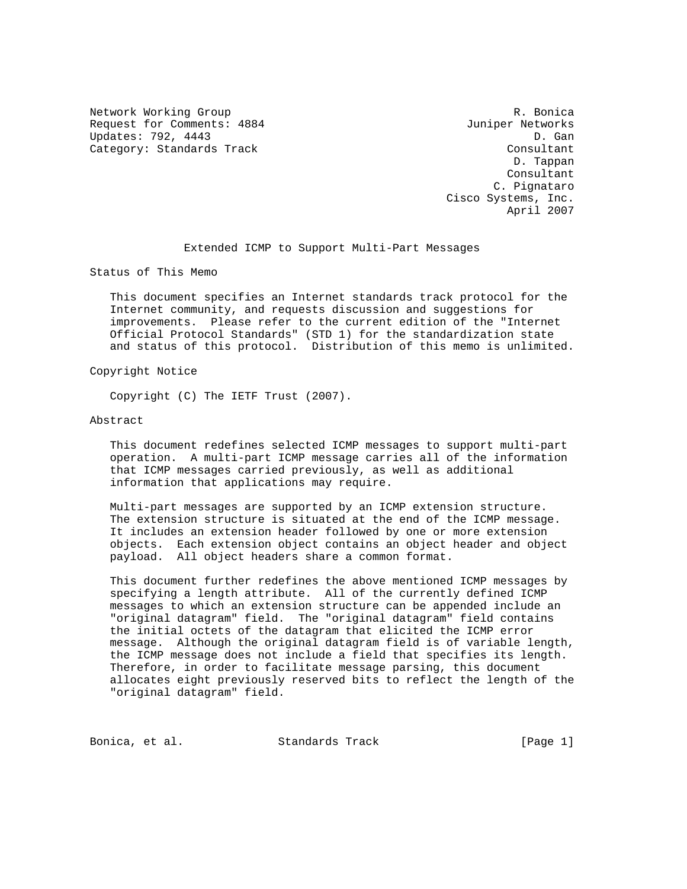Network Working Group and the set of the set of the R. Bonica Request for Comments: 4884 Juniper Networks Updates: 792, 4443 D. Gan Category: Standards Track Consultant Consultant

 D. Tappan Consultant C. Pignataro Cisco Systems, Inc. April 2007

Extended ICMP to Support Multi-Part Messages

Status of This Memo

 This document specifies an Internet standards track protocol for the Internet community, and requests discussion and suggestions for improvements. Please refer to the current edition of the "Internet Official Protocol Standards" (STD 1) for the standardization state and status of this protocol. Distribution of this memo is unlimited.

Copyright Notice

Copyright (C) The IETF Trust (2007).

Abstract

 This document redefines selected ICMP messages to support multi-part operation. A multi-part ICMP message carries all of the information that ICMP messages carried previously, as well as additional information that applications may require.

 Multi-part messages are supported by an ICMP extension structure. The extension structure is situated at the end of the ICMP message. It includes an extension header followed by one or more extension objects. Each extension object contains an object header and object payload. All object headers share a common format.

 This document further redefines the above mentioned ICMP messages by specifying a length attribute. All of the currently defined ICMP messages to which an extension structure can be appended include an "original datagram" field. The "original datagram" field contains the initial octets of the datagram that elicited the ICMP error message. Although the original datagram field is of variable length, the ICMP message does not include a field that specifies its length. Therefore, in order to facilitate message parsing, this document allocates eight previously reserved bits to reflect the length of the "original datagram" field.

Bonica, et al. Standards Track [Page 1]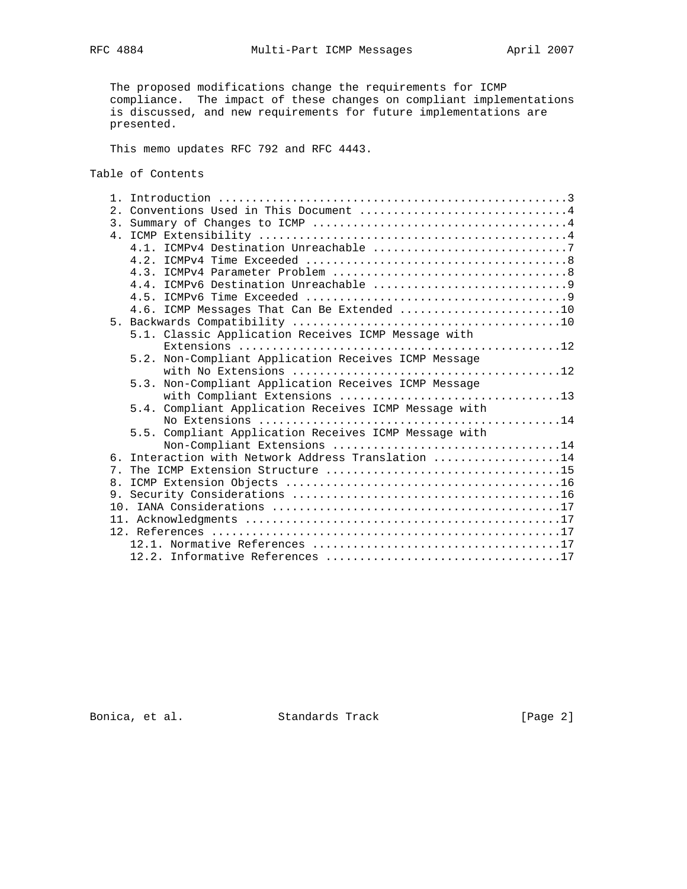The proposed modifications change the requirements for ICMP compliance. The impact of these changes on compliant implementations is discussed, and new requirements for future implementations are presented.

This memo updates RFC 792 and RFC 4443.

Table of Contents

|     | 2. Conventions Used in This Document 4                |
|-----|-------------------------------------------------------|
|     |                                                       |
|     |                                                       |
|     |                                                       |
|     |                                                       |
|     |                                                       |
|     |                                                       |
|     |                                                       |
|     | 4.6. ICMP Messages That Can Be Extended 10            |
|     |                                                       |
|     | 5.1. Classic Application Receives ICMP Message with   |
|     |                                                       |
|     | 5.2. Non-Compliant Application Receives ICMP Message  |
|     |                                                       |
|     | 5.3. Non-Compliant Application Receives ICMP Message  |
|     |                                                       |
|     | 5.4. Compliant Application Receives ICMP Message with |
|     |                                                       |
|     | 5.5. Compliant Application Receives ICMP Message with |
|     |                                                       |
| რ — | Interaction with Network Address Translation 14       |
|     |                                                       |
|     |                                                       |
|     |                                                       |
|     |                                                       |
|     |                                                       |
|     |                                                       |
|     |                                                       |
|     |                                                       |

Bonica, et al. Standards Track [Page 2]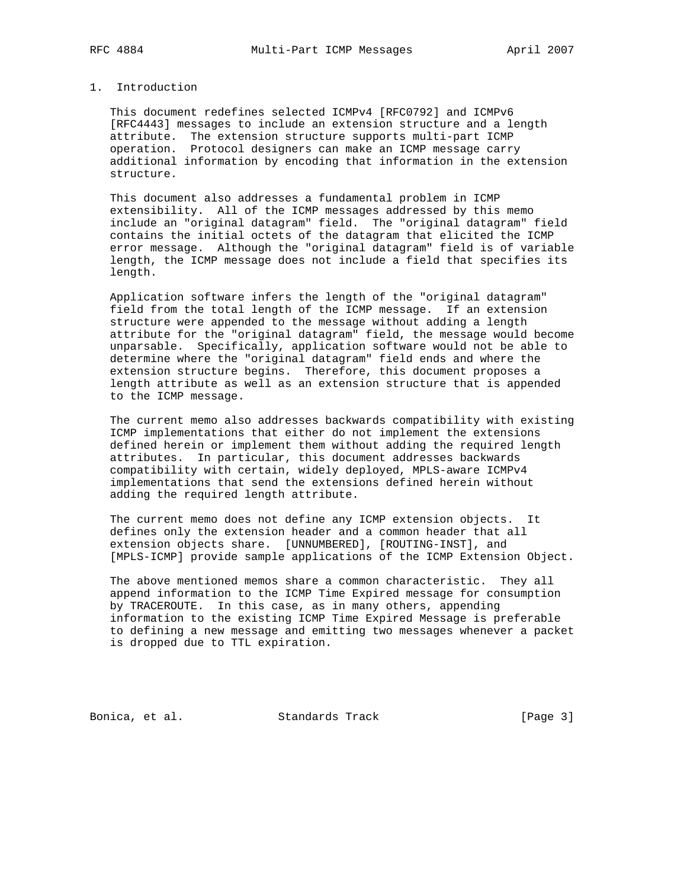## 1. Introduction

 This document redefines selected ICMPv4 [RFC0792] and ICMPv6 [RFC4443] messages to include an extension structure and a length attribute. The extension structure supports multi-part ICMP operation. Protocol designers can make an ICMP message carry additional information by encoding that information in the extension structure.

 This document also addresses a fundamental problem in ICMP extensibility. All of the ICMP messages addressed by this memo include an "original datagram" field. The "original datagram" field contains the initial octets of the datagram that elicited the ICMP error message. Although the "original datagram" field is of variable length, the ICMP message does not include a field that specifies its length.

 Application software infers the length of the "original datagram" field from the total length of the ICMP message. If an extension structure were appended to the message without adding a length attribute for the "original datagram" field, the message would become unparsable. Specifically, application software would not be able to determine where the "original datagram" field ends and where the extension structure begins. Therefore, this document proposes a length attribute as well as an extension structure that is appended to the ICMP message.

 The current memo also addresses backwards compatibility with existing ICMP implementations that either do not implement the extensions defined herein or implement them without adding the required length attributes. In particular, this document addresses backwards compatibility with certain, widely deployed, MPLS-aware ICMPv4 implementations that send the extensions defined herein without adding the required length attribute.

 The current memo does not define any ICMP extension objects. It defines only the extension header and a common header that all extension objects share. [UNNUMBERED], [ROUTING-INST], and [MPLS-ICMP] provide sample applications of the ICMP Extension Object.

 The above mentioned memos share a common characteristic. They all append information to the ICMP Time Expired message for consumption by TRACEROUTE. In this case, as in many others, appending information to the existing ICMP Time Expired Message is preferable to defining a new message and emitting two messages whenever a packet is dropped due to TTL expiration.

Bonica, et al. Standards Track [Page 3]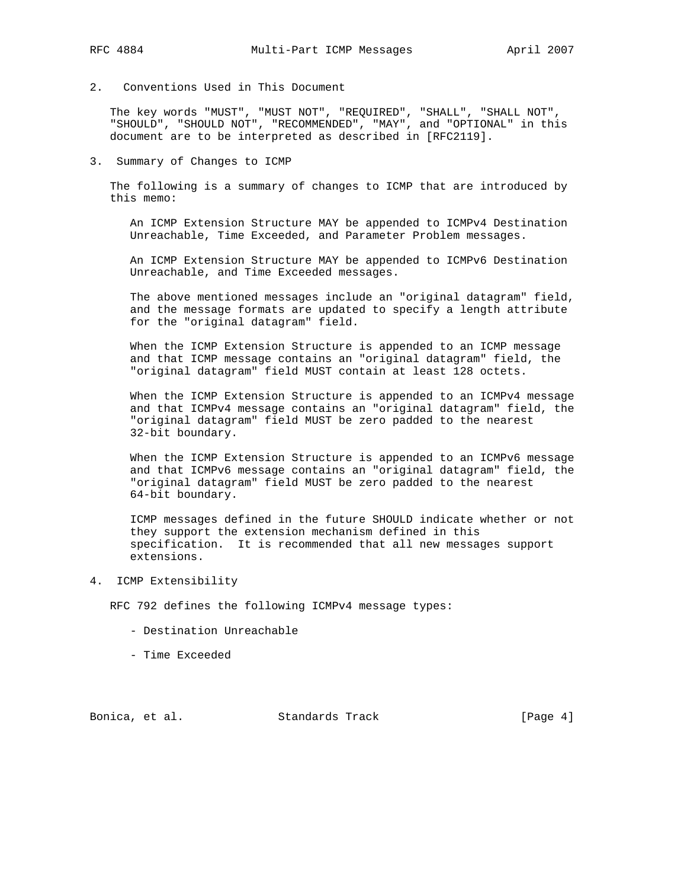- 
- 2. Conventions Used in This Document

 The key words "MUST", "MUST NOT", "REQUIRED", "SHALL", "SHALL NOT", "SHOULD", "SHOULD NOT", "RECOMMENDED", "MAY", and "OPTIONAL" in this document are to be interpreted as described in [RFC2119].

3. Summary of Changes to ICMP

 The following is a summary of changes to ICMP that are introduced by this memo:

 An ICMP Extension Structure MAY be appended to ICMPv4 Destination Unreachable, Time Exceeded, and Parameter Problem messages.

 An ICMP Extension Structure MAY be appended to ICMPv6 Destination Unreachable, and Time Exceeded messages.

 The above mentioned messages include an "original datagram" field, and the message formats are updated to specify a length attribute for the "original datagram" field.

 When the ICMP Extension Structure is appended to an ICMP message and that ICMP message contains an "original datagram" field, the "original datagram" field MUST contain at least 128 octets.

 When the ICMP Extension Structure is appended to an ICMPv4 message and that ICMPv4 message contains an "original datagram" field, the "original datagram" field MUST be zero padded to the nearest 32-bit boundary.

 When the ICMP Extension Structure is appended to an ICMPv6 message and that ICMPv6 message contains an "original datagram" field, the "original datagram" field MUST be zero padded to the nearest 64-bit boundary.

 ICMP messages defined in the future SHOULD indicate whether or not they support the extension mechanism defined in this specification. It is recommended that all new messages support extensions.

4. ICMP Extensibility

RFC 792 defines the following ICMPv4 message types:

- Destination Unreachable
- Time Exceeded

Bonica, et al. Standards Track [Page 4]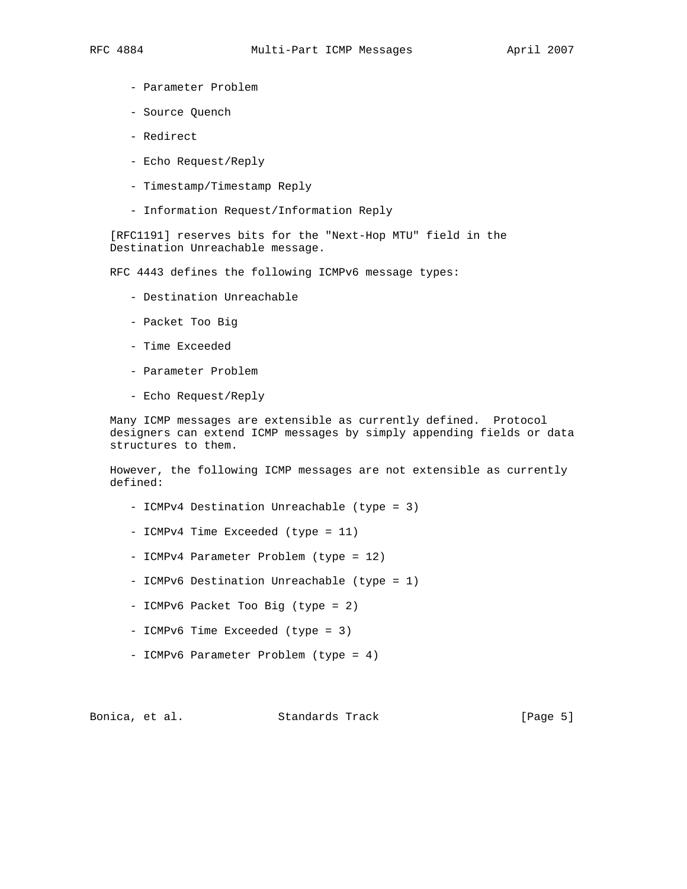- Parameter Problem
	- Source Quench
	- Redirect
	- Echo Request/Reply
	- Timestamp/Timestamp Reply
	- Information Request/Information Reply

 [RFC1191] reserves bits for the "Next-Hop MTU" field in the Destination Unreachable message.

RFC 4443 defines the following ICMPv6 message types:

- Destination Unreachable
- Packet Too Big
- Time Exceeded
- Parameter Problem
- Echo Request/Reply

 Many ICMP messages are extensible as currently defined. Protocol designers can extend ICMP messages by simply appending fields or data structures to them.

 However, the following ICMP messages are not extensible as currently defined:

- ICMPv4 Destination Unreachable (type = 3)
- ICMPv4 Time Exceeded (type = 11)
- ICMPv4 Parameter Problem (type = 12)
- ICMPv6 Destination Unreachable (type = 1)
- ICMPv6 Packet Too Big (type = 2)
- ICMPv6 Time Exceeded (type = 3)
- ICMPv6 Parameter Problem (type = 4)

Bonica, et al. Standards Track [Page 5]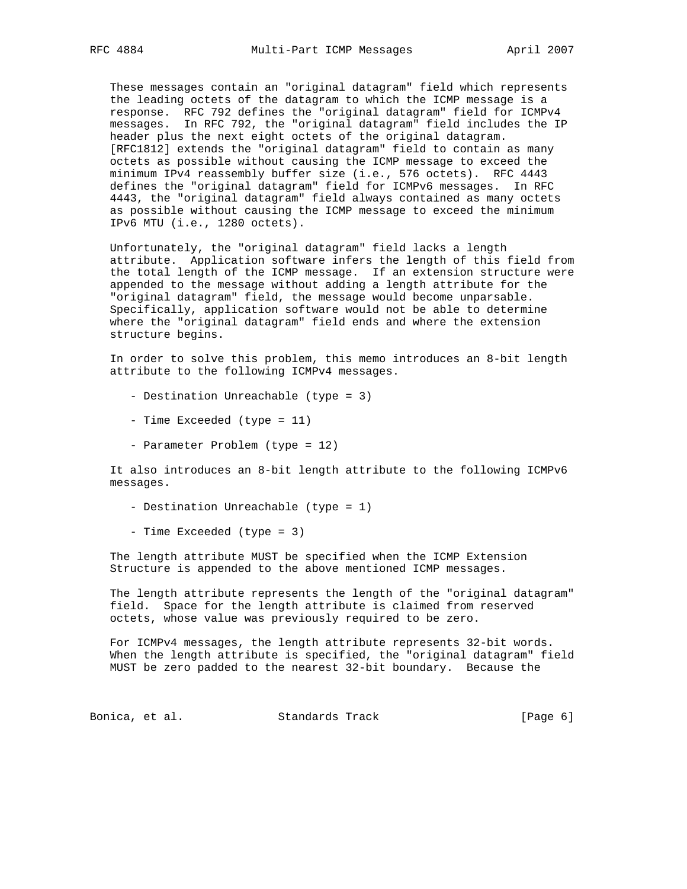These messages contain an "original datagram" field which represents the leading octets of the datagram to which the ICMP message is a response. RFC 792 defines the "original datagram" field for ICMPv4 messages. In RFC 792, the "original datagram" field includes the IP header plus the next eight octets of the original datagram. [RFC1812] extends the "original datagram" field to contain as many octets as possible without causing the ICMP message to exceed the minimum IPv4 reassembly buffer size (i.e., 576 octets). RFC 4443 defines the "original datagram" field for ICMPv6 messages. In RFC 4443, the "original datagram" field always contained as many octets as possible without causing the ICMP message to exceed the minimum IPv6 MTU (i.e., 1280 octets).

 Unfortunately, the "original datagram" field lacks a length attribute. Application software infers the length of this field from the total length of the ICMP message. If an extension structure were appended to the message without adding a length attribute for the "original datagram" field, the message would become unparsable. Specifically, application software would not be able to determine where the "original datagram" field ends and where the extension structure begins.

 In order to solve this problem, this memo introduces an 8-bit length attribute to the following ICMPv4 messages.

- Destination Unreachable (type = 3)
- Time Exceeded (type = 11)
- Parameter Problem (type = 12)

 It also introduces an 8-bit length attribute to the following ICMPv6 messages.

- Destination Unreachable (type = 1)
- Time Exceeded (type = 3)

 The length attribute MUST be specified when the ICMP Extension Structure is appended to the above mentioned ICMP messages.

 The length attribute represents the length of the "original datagram" field. Space for the length attribute is claimed from reserved octets, whose value was previously required to be zero.

 For ICMPv4 messages, the length attribute represents 32-bit words. When the length attribute is specified, the "original datagram" field MUST be zero padded to the nearest 32-bit boundary. Because the

Bonica, et al. Standards Track [Page 6]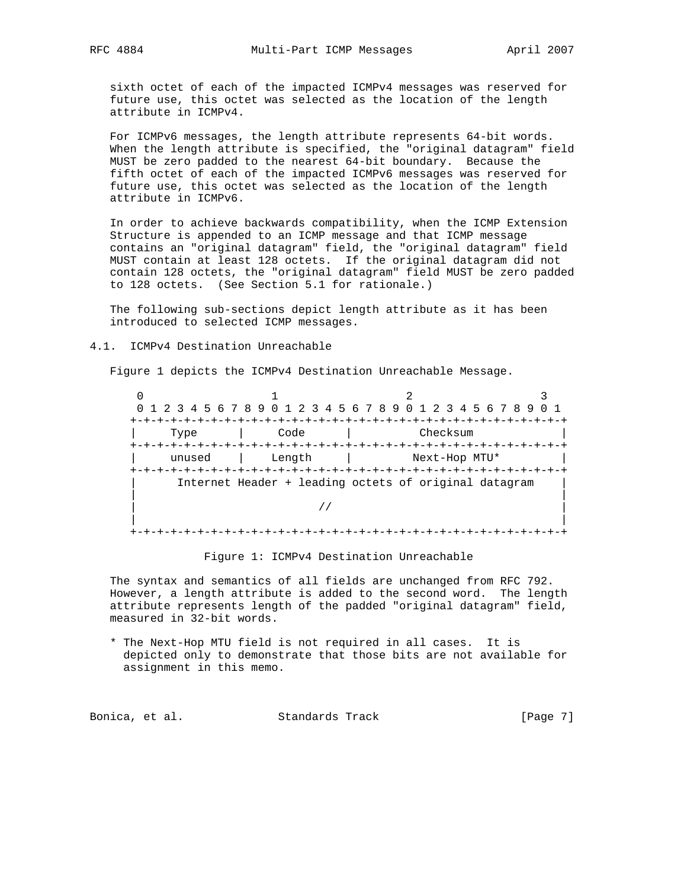sixth octet of each of the impacted ICMPv4 messages was reserved for future use, this octet was selected as the location of the length attribute in ICMPv4.

 For ICMPv6 messages, the length attribute represents 64-bit words. When the length attribute is specified, the "original datagram" field MUST be zero padded to the nearest 64-bit boundary. Because the fifth octet of each of the impacted ICMPv6 messages was reserved for future use, this octet was selected as the location of the length attribute in ICMPv6.

 In order to achieve backwards compatibility, when the ICMP Extension Structure is appended to an ICMP message and that ICMP message contains an "original datagram" field, the "original datagram" field MUST contain at least 128 octets. If the original datagram did not contain 128 octets, the "original datagram" field MUST be zero padded to 128 octets. (See Section 5.1 for rationale.)

 The following sub-sections depict length attribute as it has been introduced to selected ICMP messages.

4.1. ICMPv4 Destination Unreachable

Figure 1 depicts the ICMPv4 Destination Unreachable Message.

 $0$  1 2 3 0 1 2 3 4 5 6 7 8 9 0 1 2 3 4 5 6 7 8 9 0 1 2 3 4 5 6 7 8 9 0 1 +-+-+-+-+-+-+-+-+-+-+-+-+-+-+-+-+-+-+-+-+-+-+-+-+-+-+-+-+-+-+-+-+ | Type | Code | Checksum | +-+-+-+-+-+-+-+-+-+-+-+-+-+-+-+-+-+-+-+-+-+-+-+-+-+-+-+-+-+-+-+-+ unused | Length | Next-Hop MTU\* +-+-+-+-+-+-+-+-+-+-+-+-+-+-+-+-+-+-+-+-+-+-+-+-+-+-+-+-+-+-+-+-+ Internet Header + leading octets of original datagram | | | // | | | +-+-+-+-+-+-+-+-+-+-+-+-+-+-+-+-+-+-+-+-+-+-+-+-+-+-+-+-+-+-+-+-+

Figure 1: ICMPv4 Destination Unreachable

 The syntax and semantics of all fields are unchanged from RFC 792. However, a length attribute is added to the second word. The length attribute represents length of the padded "original datagram" field, measured in 32-bit words.

 \* The Next-Hop MTU field is not required in all cases. It is depicted only to demonstrate that those bits are not available for assignment in this memo.

Bonica, et al. Standards Track [Page 7]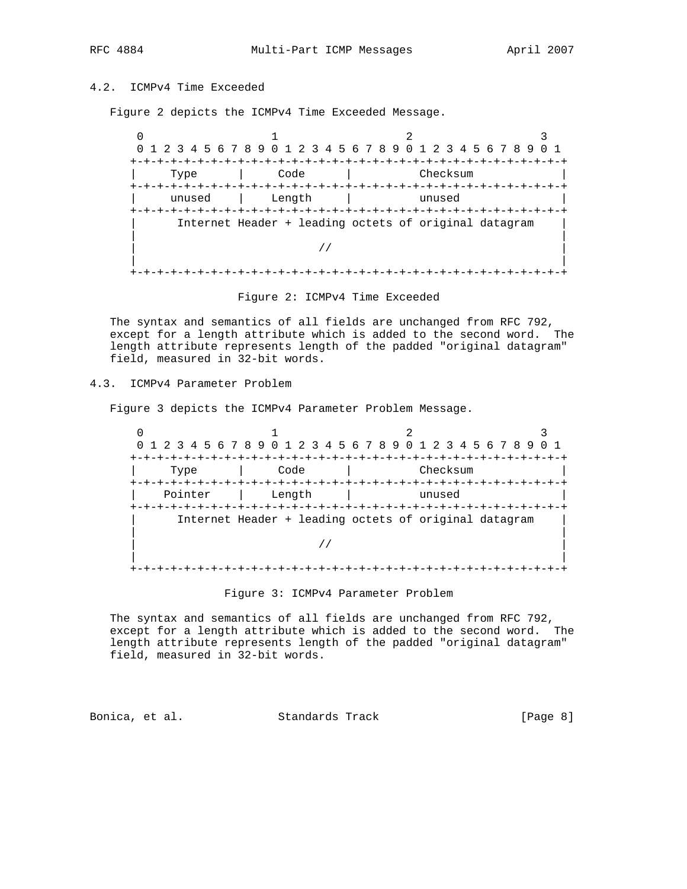# 4.2. ICMPv4 Time Exceeded

Figure 2 depicts the ICMPv4 Time Exceeded Message.

 $0$  1 2 3 0 1 2 3 4 5 6 7 8 9 0 1 2 3 4 5 6 7 8 9 0 1 2 3 4 5 6 7 8 9 0 1 +-+-+-+-+-+-+-+-+-+-+-+-+-+-+-+-+-+-+-+-+-+-+-+-+-+-+-+-+-+-+-+-+ Type | Code | Checksum +-+-+-+-+-+-+-+-+-+-+-+-+-+-+-+-+-+-+-+-+-+-+-+-+-+-+-+-+-+-+-+-+ unused | Length | unused +-+-+-+-+-+-+-+-+-+-+-+-+-+-+-+-+-+-+-+-+-+-+-+-+-+-+-+-+-+-+-+-+ Internet Header + leading octets of original datagram | | | // | | | +-+-+-+-+-+-+-+-+-+-+-+-+-+-+-+-+-+-+-+-+-+-+-+-+-+-+-+-+-+-+-+-+

Figure 2: ICMPv4 Time Exceeded

 The syntax and semantics of all fields are unchanged from RFC 792, except for a length attribute which is added to the second word. The length attribute represents length of the padded "original datagram" field, measured in 32-bit words.

# 4.3. ICMPv4 Parameter Problem

Figure 3 depicts the ICMPv4 Parameter Problem Message.

 $0$  1 2 3 0 1 2 3 4 5 6 7 8 9 0 1 2 3 4 5 6 7 8 9 0 1 2 3 4 5 6 7 8 9 0 1 +-+-+-+-+-+-+-+-+-+-+-+-+-+-+-+-+-+-+-+-+-+-+-+-+-+-+-+-+-+-+-+-+ | Type | Code | Checksum | +-+-+-+-+-+-+-+-+-+-+-+-+-+-+-+-+-+-+-+-+-+-+-+-+-+-+-+-+-+-+-+-+ Pointer | Length | unused +-+-+-+-+-+-+-+-+-+-+-+-+-+-+-+-+-+-+-+-+-+-+-+-+-+-+-+-+-+-+-+-+ Internet Header + leading octets of original datagram | | | // | | | +-+-+-+-+-+-+-+-+-+-+-+-+-+-+-+-+-+-+-+-+-+-+-+-+-+-+-+-+-+-+-+-+

Figure 3: ICMPv4 Parameter Problem

 The syntax and semantics of all fields are unchanged from RFC 792, except for a length attribute which is added to the second word. The length attribute represents length of the padded "original datagram" field, measured in 32-bit words.

Bonica, et al. Standards Track [Page 8]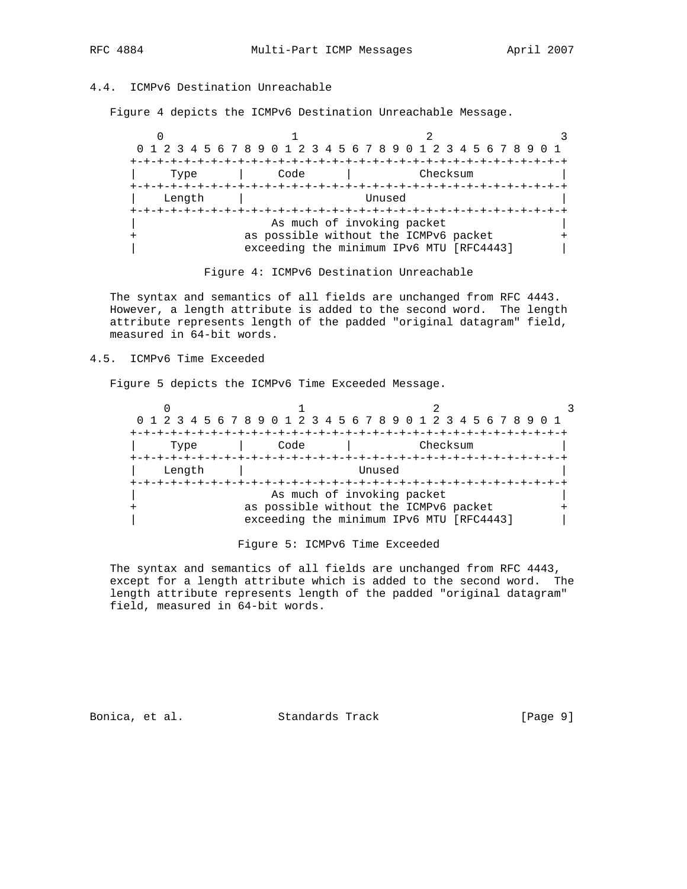# 4.4. ICMPv6 Destination Unreachable

Figure 4 depicts the ICMPv6 Destination Unreachable Message.

|        |      | 0 1 2 3 4 5 6 7 8 9 0 1 2 3 4 5 6 7 8 9 0 1 2 3 4 5 6 7 8 9                                                     |  |
|--------|------|-----------------------------------------------------------------------------------------------------------------|--|
| Type   | Code | -+-+-+-+-+-+-+-+-+-+-+-+-+-+<br>Checksum                                                                        |  |
| Length |      | Unused                                                                                                          |  |
|        |      | As much of invoking packet<br>as possible without the ICMPv6 packet<br>exceeding the minimum IPv6 MTU [RFC4443] |  |

### Figure 4: ICMPv6 Destination Unreachable

 The syntax and semantics of all fields are unchanged from RFC 4443. However, a length attribute is added to the second word. The length attribute represents length of the padded "original datagram" field, measured in 64-bit words.

## 4.5. ICMPv6 Time Exceeded

Figure 5 depicts the ICMPv6 Time Exceeded Message.

| 0 1 2 3 4 5 6 7 8 9 0 1 2 3 4 5 6 7 8 9 0 1 2 3 4 5 6 7 8 9 0 1 |        |  |  |  |      |  |                                                                     |  |        |  |  |          |  |  |  |  |  |
|-----------------------------------------------------------------|--------|--|--|--|------|--|---------------------------------------------------------------------|--|--------|--|--|----------|--|--|--|--|--|
|                                                                 | Type   |  |  |  | Code |  |                                                                     |  |        |  |  | Checksum |  |  |  |  |  |
|                                                                 | Length |  |  |  |      |  |                                                                     |  | Unused |  |  |          |  |  |  |  |  |
|                                                                 |        |  |  |  |      |  | As much of invoking packet<br>as possible without the ICMPv6 packet |  |        |  |  |          |  |  |  |  |  |
|                                                                 |        |  |  |  |      |  | exceeding the minimum IPv6 MTU [RFC4443]                            |  |        |  |  |          |  |  |  |  |  |

### Figure 5: ICMPv6 Time Exceeded

 The syntax and semantics of all fields are unchanged from RFC 4443, except for a length attribute which is added to the second word. The length attribute represents length of the padded "original datagram" field, measured in 64-bit words.

Bonica, et al. Standards Track [Page 9]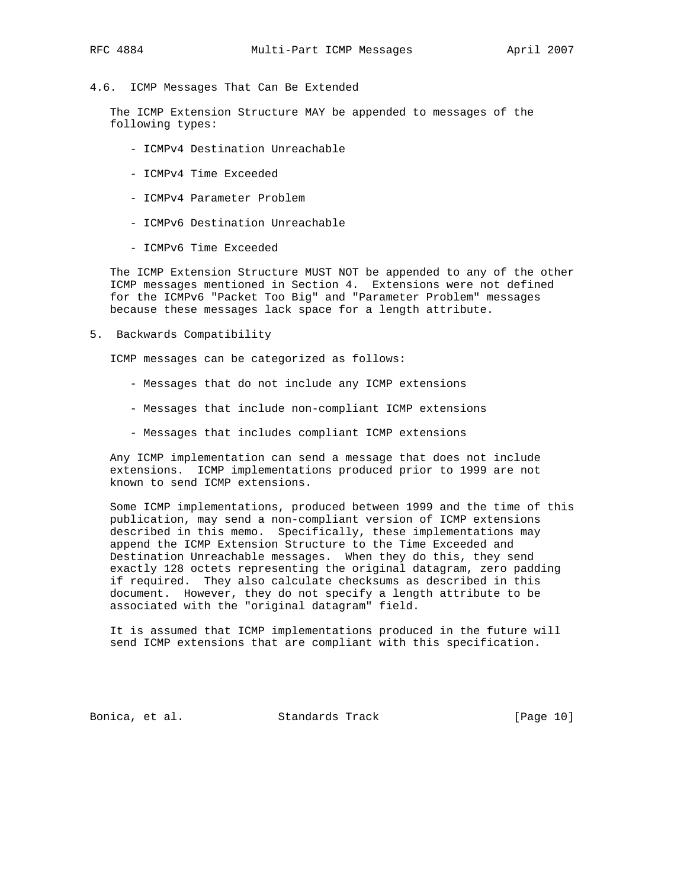### 4.6. ICMP Messages That Can Be Extended

 The ICMP Extension Structure MAY be appended to messages of the following types:

- ICMPv4 Destination Unreachable
- ICMPv4 Time Exceeded
- ICMPv4 Parameter Problem
- ICMPv6 Destination Unreachable
- ICMPv6 Time Exceeded

 The ICMP Extension Structure MUST NOT be appended to any of the other ICMP messages mentioned in Section 4. Extensions were not defined for the ICMPv6 "Packet Too Big" and "Parameter Problem" messages because these messages lack space for a length attribute.

5. Backwards Compatibility

ICMP messages can be categorized as follows:

- Messages that do not include any ICMP extensions
- Messages that include non-compliant ICMP extensions
- Messages that includes compliant ICMP extensions

 Any ICMP implementation can send a message that does not include extensions. ICMP implementations produced prior to 1999 are not known to send ICMP extensions.

 Some ICMP implementations, produced between 1999 and the time of this publication, may send a non-compliant version of ICMP extensions described in this memo. Specifically, these implementations may append the ICMP Extension Structure to the Time Exceeded and Destination Unreachable messages. When they do this, they send exactly 128 octets representing the original datagram, zero padding if required. They also calculate checksums as described in this document. However, they do not specify a length attribute to be associated with the "original datagram" field.

 It is assumed that ICMP implementations produced in the future will send ICMP extensions that are compliant with this specification.

Bonica, et al. Standards Track [Page 10]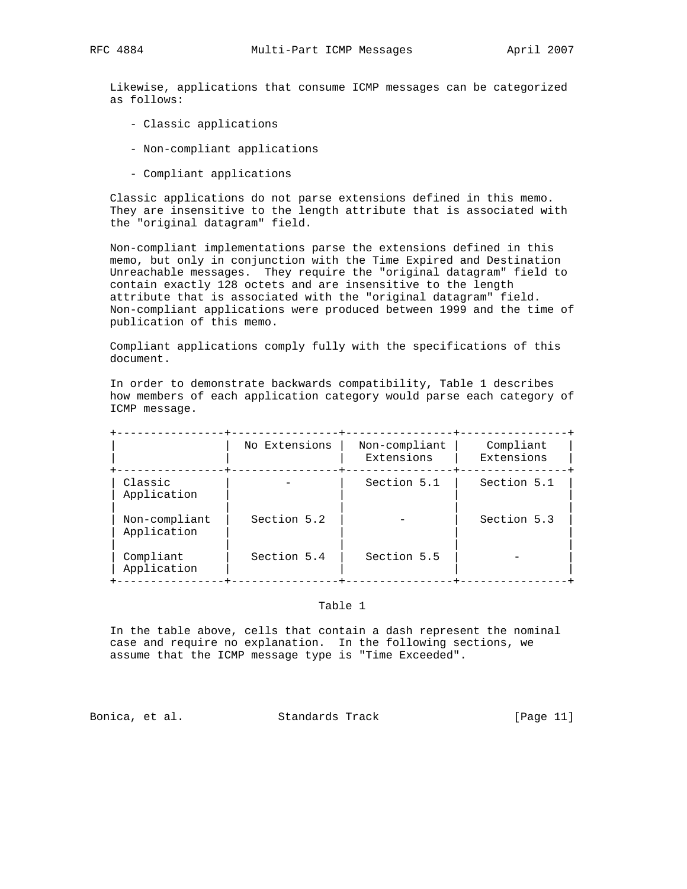Likewise, applications that consume ICMP messages can be categorized as follows:

- Classic applications
- Non-compliant applications
- Compliant applications

 Classic applications do not parse extensions defined in this memo. They are insensitive to the length attribute that is associated with the "original datagram" field.

 Non-compliant implementations parse the extensions defined in this memo, but only in conjunction with the Time Expired and Destination Unreachable messages. They require the "original datagram" field to contain exactly 128 octets and are insensitive to the length attribute that is associated with the "original datagram" field. Non-compliant applications were produced between 1999 and the time of publication of this memo.

 Compliant applications comply fully with the specifications of this document.

 In order to demonstrate backwards compatibility, Table 1 describes how members of each application category would parse each category of ICMP message.

|                              | No Extensions | Non-compliant<br>Extensions | Compliant<br>Extensions |
|------------------------------|---------------|-----------------------------|-------------------------|
| Classic<br>Application       |               | Section 5.1                 | Section 5.1             |
| Non-compliant<br>Application | Section 5.2   |                             | Section 5.3             |
| Compliant<br>Application     | Section 5.4   | Section 5.5                 |                         |

### Table 1

 In the table above, cells that contain a dash represent the nominal case and require no explanation. In the following sections, we assume that the ICMP message type is "Time Exceeded".

Bonica, et al. Standards Track [Page 11]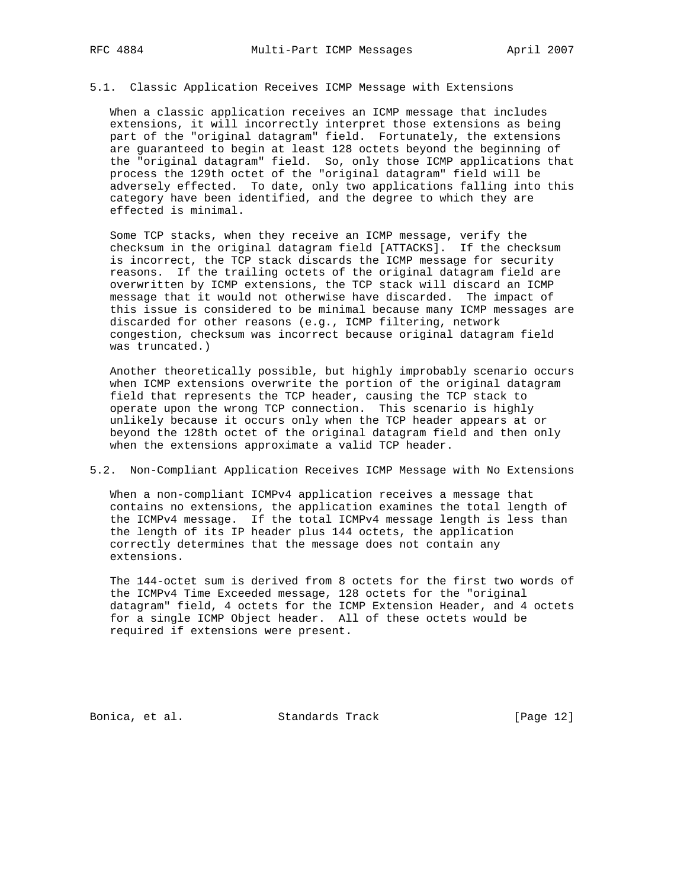### 5.1. Classic Application Receives ICMP Message with Extensions

 When a classic application receives an ICMP message that includes extensions, it will incorrectly interpret those extensions as being part of the "original datagram" field. Fortunately, the extensions are guaranteed to begin at least 128 octets beyond the beginning of the "original datagram" field. So, only those ICMP applications that process the 129th octet of the "original datagram" field will be adversely effected. To date, only two applications falling into this category have been identified, and the degree to which they are effected is minimal.

 Some TCP stacks, when they receive an ICMP message, verify the checksum in the original datagram field [ATTACKS]. If the checksum is incorrect, the TCP stack discards the ICMP message for security reasons. If the trailing octets of the original datagram field are overwritten by ICMP extensions, the TCP stack will discard an ICMP message that it would not otherwise have discarded. The impact of this issue is considered to be minimal because many ICMP messages are discarded for other reasons (e.g., ICMP filtering, network congestion, checksum was incorrect because original datagram field was truncated.)

 Another theoretically possible, but highly improbably scenario occurs when ICMP extensions overwrite the portion of the original datagram field that represents the TCP header, causing the TCP stack to operate upon the wrong TCP connection. This scenario is highly unlikely because it occurs only when the TCP header appears at or beyond the 128th octet of the original datagram field and then only when the extensions approximate a valid TCP header.

## 5.2. Non-Compliant Application Receives ICMP Message with No Extensions

 When a non-compliant ICMPv4 application receives a message that contains no extensions, the application examines the total length of the ICMPv4 message. If the total ICMPv4 message length is less than the length of its IP header plus 144 octets, the application correctly determines that the message does not contain any extensions.

 The 144-octet sum is derived from 8 octets for the first two words of the ICMPv4 Time Exceeded message, 128 octets for the "original datagram" field, 4 octets for the ICMP Extension Header, and 4 octets for a single ICMP Object header. All of these octets would be required if extensions were present.

Bonica, et al. Standards Track [Page 12]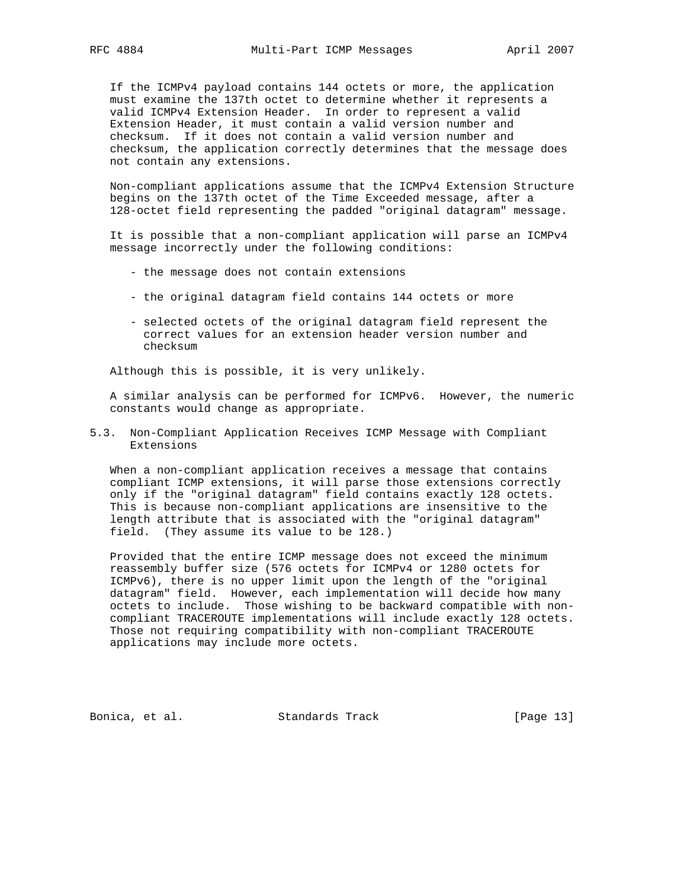If the ICMPv4 payload contains 144 octets or more, the application must examine the 137th octet to determine whether it represents a valid ICMPv4 Extension Header. In order to represent a valid Extension Header, it must contain a valid version number and checksum. If it does not contain a valid version number and checksum, the application correctly determines that the message does not contain any extensions.

 Non-compliant applications assume that the ICMPv4 Extension Structure begins on the 137th octet of the Time Exceeded message, after a 128-octet field representing the padded "original datagram" message.

 It is possible that a non-compliant application will parse an ICMPv4 message incorrectly under the following conditions:

- the message does not contain extensions
- the original datagram field contains 144 octets or more
- selected octets of the original datagram field represent the correct values for an extension header version number and checksum

Although this is possible, it is very unlikely.

 A similar analysis can be performed for ICMPv6. However, the numeric constants would change as appropriate.

5.3. Non-Compliant Application Receives ICMP Message with Compliant Extensions

 When a non-compliant application receives a message that contains compliant ICMP extensions, it will parse those extensions correctly only if the "original datagram" field contains exactly 128 octets. This is because non-compliant applications are insensitive to the length attribute that is associated with the "original datagram" field. (They assume its value to be 128.)

 Provided that the entire ICMP message does not exceed the minimum reassembly buffer size (576 octets for ICMPv4 or 1280 octets for ICMPv6), there is no upper limit upon the length of the "original datagram" field. However, each implementation will decide how many octets to include. Those wishing to be backward compatible with non compliant TRACEROUTE implementations will include exactly 128 octets. Those not requiring compatibility with non-compliant TRACEROUTE applications may include more octets.

Bonica, et al. Standards Track [Page 13]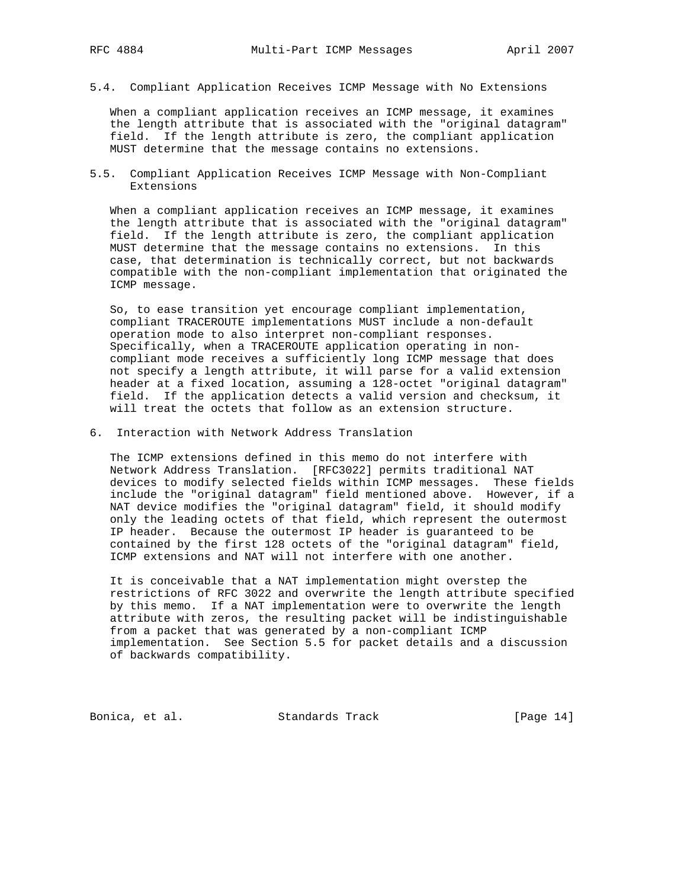5.4. Compliant Application Receives ICMP Message with No Extensions

 When a compliant application receives an ICMP message, it examines the length attribute that is associated with the "original datagram" field. If the length attribute is zero, the compliant application MUST determine that the message contains no extensions.

5.5. Compliant Application Receives ICMP Message with Non-Compliant Extensions

 When a compliant application receives an ICMP message, it examines the length attribute that is associated with the "original datagram" field. If the length attribute is zero, the compliant application MUST determine that the message contains no extensions. In this case, that determination is technically correct, but not backwards compatible with the non-compliant implementation that originated the ICMP message.

 So, to ease transition yet encourage compliant implementation, compliant TRACEROUTE implementations MUST include a non-default operation mode to also interpret non-compliant responses. Specifically, when a TRACEROUTE application operating in non compliant mode receives a sufficiently long ICMP message that does not specify a length attribute, it will parse for a valid extension header at a fixed location, assuming a 128-octet "original datagram" field. If the application detects a valid version and checksum, it will treat the octets that follow as an extension structure.

6. Interaction with Network Address Translation

 The ICMP extensions defined in this memo do not interfere with Network Address Translation. [RFC3022] permits traditional NAT devices to modify selected fields within ICMP messages. These fields include the "original datagram" field mentioned above. However, if a NAT device modifies the "original datagram" field, it should modify only the leading octets of that field, which represent the outermost IP header. Because the outermost IP header is guaranteed to be contained by the first 128 octets of the "original datagram" field, ICMP extensions and NAT will not interfere with one another.

 It is conceivable that a NAT implementation might overstep the restrictions of RFC 3022 and overwrite the length attribute specified by this memo. If a NAT implementation were to overwrite the length attribute with zeros, the resulting packet will be indistinguishable from a packet that was generated by a non-compliant ICMP implementation. See Section 5.5 for packet details and a discussion of backwards compatibility.

Bonica, et al. Standards Track [Page 14]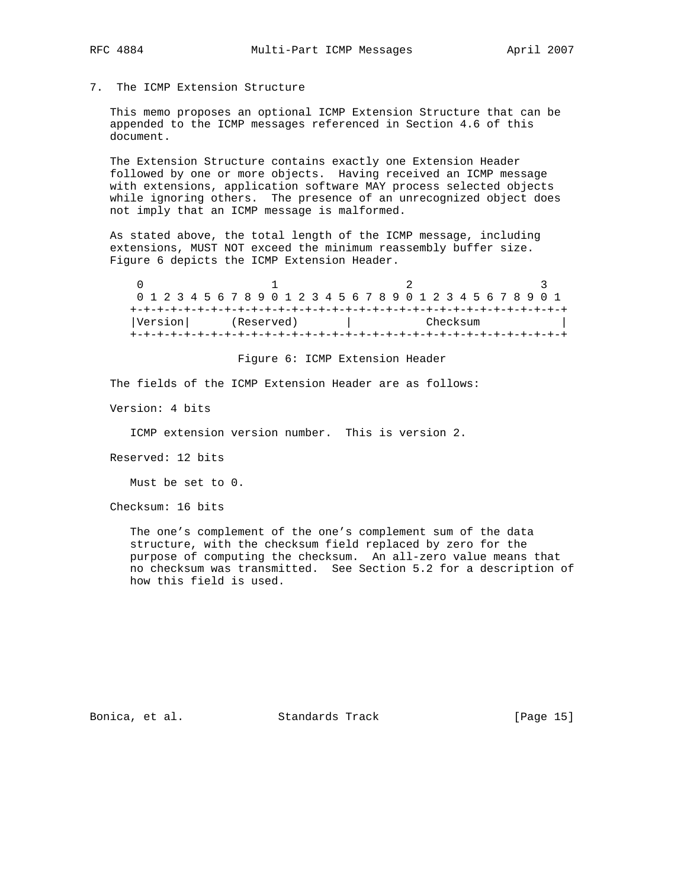- 
- 7. The ICMP Extension Structure

 This memo proposes an optional ICMP Extension Structure that can be appended to the ICMP messages referenced in Section 4.6 of this document.

 The Extension Structure contains exactly one Extension Header followed by one or more objects. Having received an ICMP message with extensions, application software MAY process selected objects while ignoring others. The presence of an unrecognized object does not imply that an ICMP message is malformed.

 As stated above, the total length of the ICMP message, including extensions, MUST NOT exceed the minimum reassembly buffer size. Figure 6 depicts the ICMP Extension Header.

 $0$  1 2 3 0 1 2 3 4 5 6 7 8 9 0 1 2 3 4 5 6 7 8 9 0 1 2 3 4 5 6 7 8 9 0 1 +-+-+-+-+-+-+-+-+-+-+-+-+-+-+-+-+-+-+-+-+-+-+-+-+-+-+-+-+-+-+-+-+ |Version| (Reserved) | Checksum +-+-+-+-+-+-+-+-+-+-+-+-+-+-+-+-+-+-+-+-+-+-+-+-+-+-+-+-+-+-+-+-+

Figure 6: ICMP Extension Header

The fields of the ICMP Extension Header are as follows:

Version: 4 bits

ICMP extension version number. This is version 2.

Reserved: 12 bits

Must be set to 0.

Checksum: 16 bits

 The one's complement of the one's complement sum of the data structure, with the checksum field replaced by zero for the purpose of computing the checksum. An all-zero value means that no checksum was transmitted. See Section 5.2 for a description of how this field is used.

Bonica, et al. Standards Track [Page 15]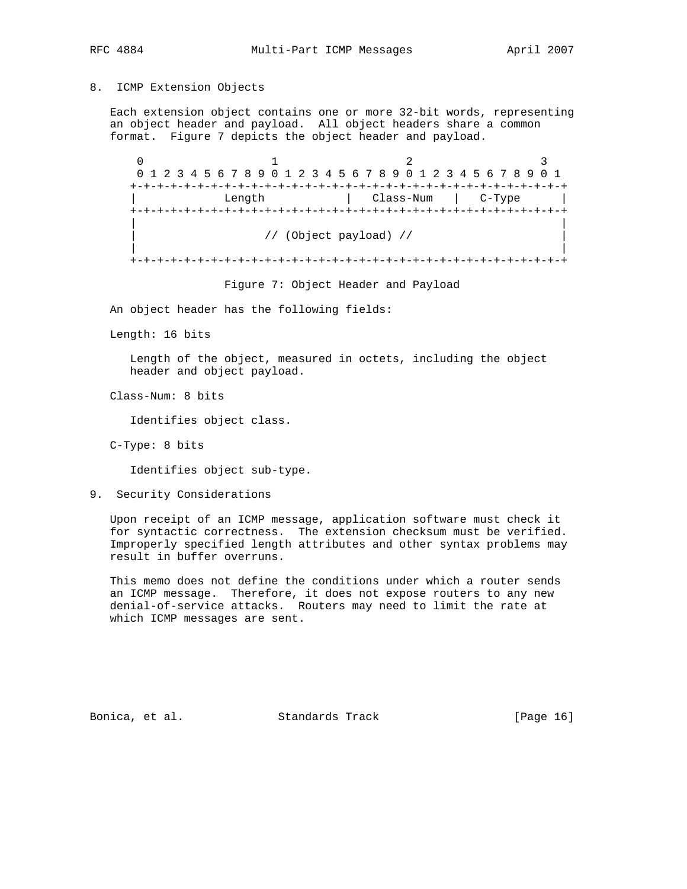### 8. ICMP Extension Objects

 Each extension object contains one or more 32-bit words, representing an object header and payload. All object headers share a common format. Figure 7 depicts the object header and payload.

 $0$  1 2 3 0 1 2 3 4 5 6 7 8 9 0 1 2 3 4 5 6 7 8 9 0 1 2 3 4 5 6 7 8 9 0 1 +-+-+-+-+-+-+-+-+-+-+-+-+-+-+-+-+-+-+-+-+-+-+-+-+-+-+-+-+-+-+-+-+ Length  $|$  Class-Num  $|$  C-Type  $|$  +-+-+-+-+-+-+-+-+-+-+-+-+-+-+-+-+-+-+-+-+-+-+-+-+-+-+-+-+-+-+-+-+ | | | // (Object payload) // | | | +-+-+-+-+-+-+-+-+-+-+-+-+-+-+-+-+-+-+-+-+-+-+-+-+-+-+-+-+-+-+-+-+

Figure 7: Object Header and Payload

An object header has the following fields:

Length: 16 bits

 Length of the object, measured in octets, including the object header and object payload.

Class-Num: 8 bits

Identifies object class.

C-Type: 8 bits

Identifies object sub-type.

9. Security Considerations

 Upon receipt of an ICMP message, application software must check it for syntactic correctness. The extension checksum must be verified. Improperly specified length attributes and other syntax problems may result in buffer overruns.

 This memo does not define the conditions under which a router sends an ICMP message. Therefore, it does not expose routers to any new denial-of-service attacks. Routers may need to limit the rate at which ICMP messages are sent.

Bonica, et al. Standards Track [Page 16]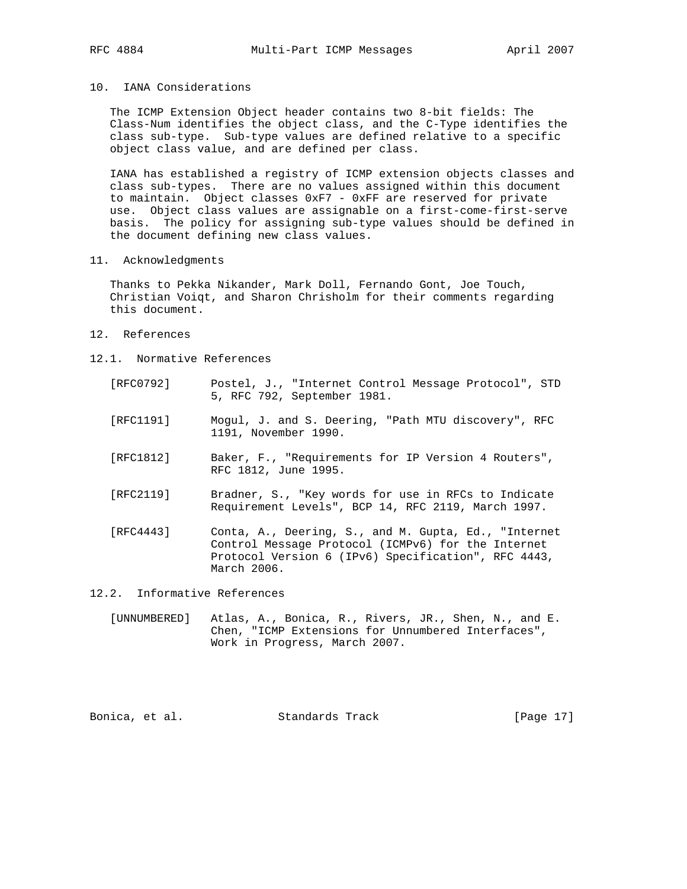## 10. IANA Considerations

 The ICMP Extension Object header contains two 8-bit fields: The Class-Num identifies the object class, and the C-Type identifies the class sub-type. Sub-type values are defined relative to a specific object class value, and are defined per class.

 IANA has established a registry of ICMP extension objects classes and class sub-types. There are no values assigned within this document to maintain. Object classes 0xF7 - 0xFF are reserved for private use. Object class values are assignable on a first-come-first-serve basis. The policy for assigning sub-type values should be defined in the document defining new class values.

11. Acknowledgments

 Thanks to Pekka Nikander, Mark Doll, Fernando Gont, Joe Touch, Christian Voiqt, and Sharon Chrisholm for their comments regarding this document.

- 12. References
- 12.1. Normative References
	- [RFC0792] Postel, J., "Internet Control Message Protocol", STD 5, RFC 792, September 1981.
	- [RFC1191] Mogul, J. and S. Deering, "Path MTU discovery", RFC 1191, November 1990.
	- [RFC1812] Baker, F., "Requirements for IP Version 4 Routers", RFC 1812, June 1995.
	- [RFC2119] Bradner, S., "Key words for use in RFCs to Indicate Requirement Levels", BCP 14, RFC 2119, March 1997.
	- [RFC4443] Conta, A., Deering, S., and M. Gupta, Ed., "Internet Control Message Protocol (ICMPv6) for the Internet Protocol Version 6 (IPv6) Specification", RFC 4443, March 2006.

12.2. Informative References

 [UNNUMBERED] Atlas, A., Bonica, R., Rivers, JR., Shen, N., and E. Chen, "ICMP Extensions for Unnumbered Interfaces", Work in Progress, March 2007.

Bonica, et al. Standards Track [Page 17]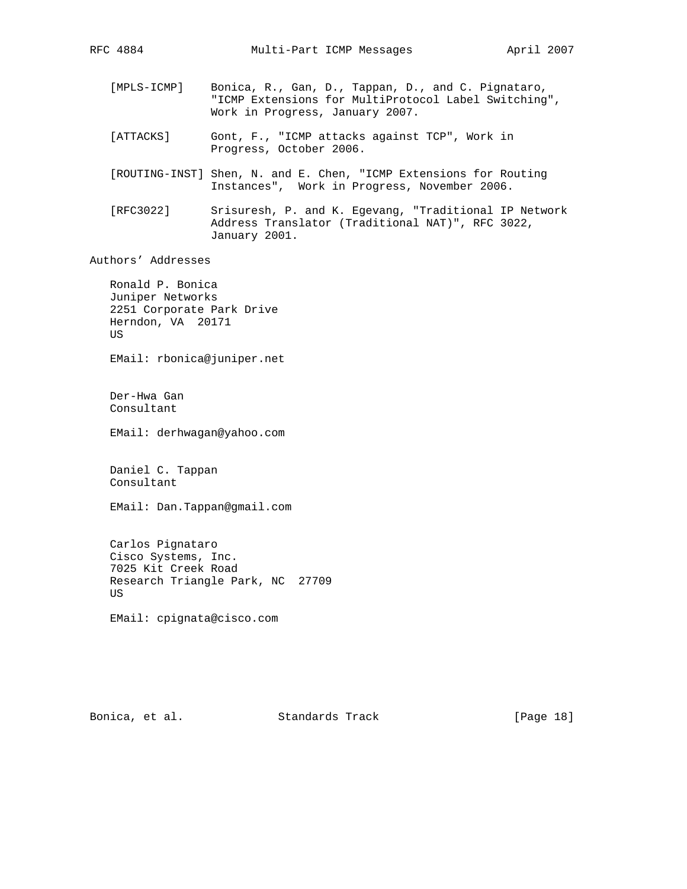- [MPLS-ICMP] Bonica, R., Gan, D., Tappan, D., and C. Pignataro, "ICMP Extensions for MultiProtocol Label Switching", Work in Progress, January 2007.
- [ATTACKS] Gont, F., "ICMP attacks against TCP", Work in Progress, October 2006.
- [ROUTING-INST] Shen, N. and E. Chen, "ICMP Extensions for Routing Instances", Work in Progress, November 2006.
- [RFC3022] Srisuresh, P. and K. Egevang, "Traditional IP Network Address Translator (Traditional NAT)", RFC 3022, January 2001.

Authors' Addresses

 Ronald P. Bonica Juniper Networks 2251 Corporate Park Drive Herndon, VA 20171 US

EMail: rbonica@juniper.net

 Der-Hwa Gan Consultant

EMail: derhwagan@yahoo.com

 Daniel C. Tappan Consultant

EMail: Dan.Tappan@gmail.com

 Carlos Pignataro Cisco Systems, Inc. 7025 Kit Creek Road Research Triangle Park, NC 27709 US

EMail: cpignata@cisco.com

Bonica, et al. Standards Track [Page 18]